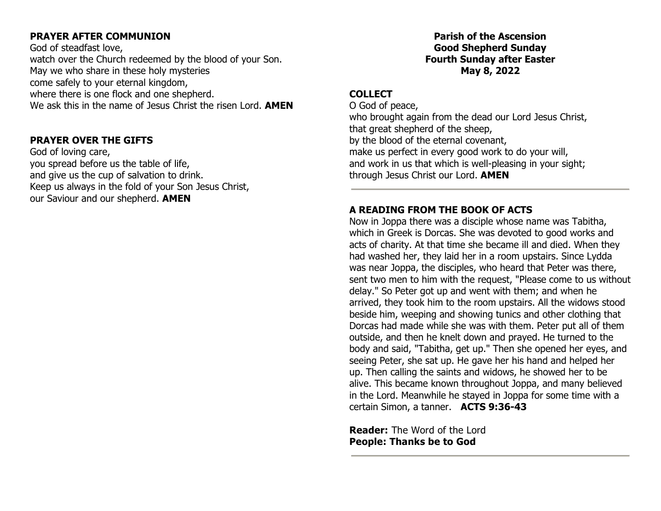## **PRAYER AFTER COMMUNION**

God of steadfast love, watch over the Church redeemed by the blood of your Son. May we who share in these holy mysteries come safely to your eternal kingdom, where there is one flock and one shepherd. We ask this in the name of Jesus Christ the risen Lord. **AMEN**

## **PRAYER OVER THE GIFTS**

God of loving care, you spread before us the table of life, and give us the cup of salvation to drink. Keep us always in the fold of your Son Jesus Christ, our Saviour and our shepherd. **AMEN**

## **Parish of the Ascension Good Shepherd Sunday Fourth Sunday after Easter May 8, 2022**

## **COLLECT**

O God of peace, who brought again from the dead our Lord Jesus Christ, that great shepherd of the sheep, by the blood of the eternal covenant, make us perfect in every good work to do your will, and work in us that which is well-pleasing in your sight; through Jesus Christ our Lord. **AMEN**

# **A READING FROM THE BOOK OF ACTS**

Now in Joppa there was a disciple whose name was Tabitha, which in Greek is Dorcas. She was devoted to good works and acts of charity. At that time she became ill and died. When they had washed her, they laid her in a room upstairs. Since Lydda was near Joppa, the disciples, who heard that Peter was there, sent two men to him with the request, "Please come to us without delay." So Peter got up and went with them; and when he arrived, they took him to the room upstairs. All the widows stood beside him, weeping and showing tunics and other clothing that Dorcas had made while she was with them. Peter put all of them outside, and then he knelt down and prayed. He turned to the body and said, "Tabitha, get up." Then she opened her eyes, and seeing Peter, she sat up. He gave her his hand and helped her up. Then calling the saints and widows, he showed her to be alive. This became known throughout Joppa, and many believed in the Lord. Meanwhile he stayed in Joppa for some time with a certain Simon, a tanner. **ACTS 9:36-43**

**Reader:** The Word of the Lord **People: Thanks be to God**